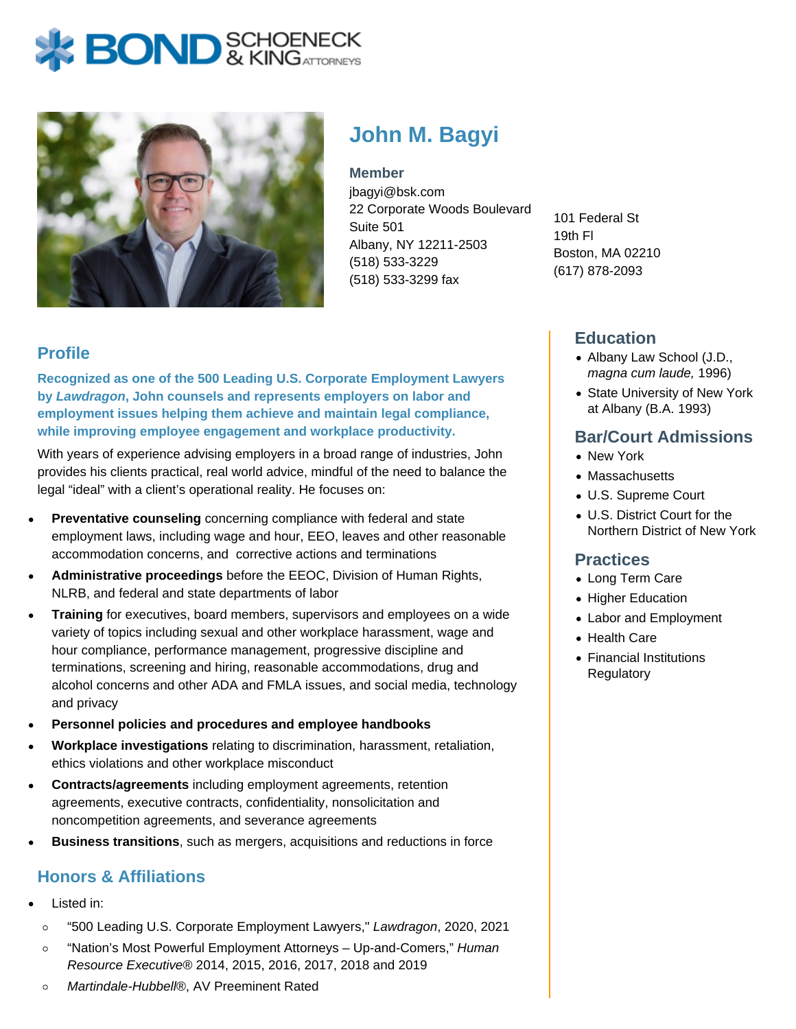# **BOND** & KINGATTORNECK



# **John M. Bagyi**

**Member**

jbagyi@bsk.com 22 Corporate Woods Boulevard Suite 501 Albany, NY 12211-2503 (518) 533-3229 (518) 533-3299 fax

101 Federal St 19th Fl Boston, MA 02210 (617) 878-2093

# **Profile**

**Recognized as one of the 500 Leading U.S. Corporate Employment Lawyers by Lawdragon, John counsels and represents employers on labor and employment issues helping them achieve and maintain legal compliance, while improving employee engagement and workplace productivity.**

With years of experience advising employers in a broad range of industries, John provides his clients practical, real world advice, mindful of the need to balance the legal "ideal" with a client's operational reality. He focuses on:

- **Preventative counseling** concerning compliance with federal and state employment laws, including wage and hour, EEO, leaves and other reasonable accommodation concerns, and corrective actions and terminations
- **Administrative proceedings** before the EEOC, Division of Human Rights, NLRB, and federal and state departments of labor
- **Training** for executives, board members, supervisors and employees on a wide variety of topics including sexual and other workplace harassment, wage and hour compliance, performance management, progressive discipline and terminations, screening and hiring, reasonable accommodations, drug and alcohol concerns and other ADA and FMLA issues, and social media, technology and privacy
- **Personnel policies and procedures and employee handbooks**
- **Workplace investigations** relating to discrimination, harassment, retaliation, ethics violations and other workplace misconduct
- **Contracts/agreements** including employment agreements, retention agreements, executive contracts, confidentiality, nonsolicitation and noncompetition agreements, and severance agreements
- **Business transitions**, such as mergers, acquisitions and reductions in force

## **Honors & Affiliations**

- Listed in:
	- "500 Leading U.S. Corporate Employment Lawyers," Lawdragon, 2020, 2021  $\circ$
	- "Nation's Most Powerful Employment Attorneys Up-and-Comers," Human  $\circ$ Resource Executive® 2014, 2015, 2016, 2017, 2018 and 2019
	- Martindale-Hubbell®, AV Preeminent Rated  $\circ$

#### **Education**

- Albany Law School (J.D., magna cum laude, 1996)
- State University of New York at Albany (B.A. 1993)

### **Bar/Court Admissions**

- New York
- Massachusetts
- U.S. Supreme Court
- U.S. District Court for the Northern District of New York

#### **Practices**

- Long Term Care
- Higher Education
- Labor and Employment
- Health Care
- Financial Institutions **Regulatory**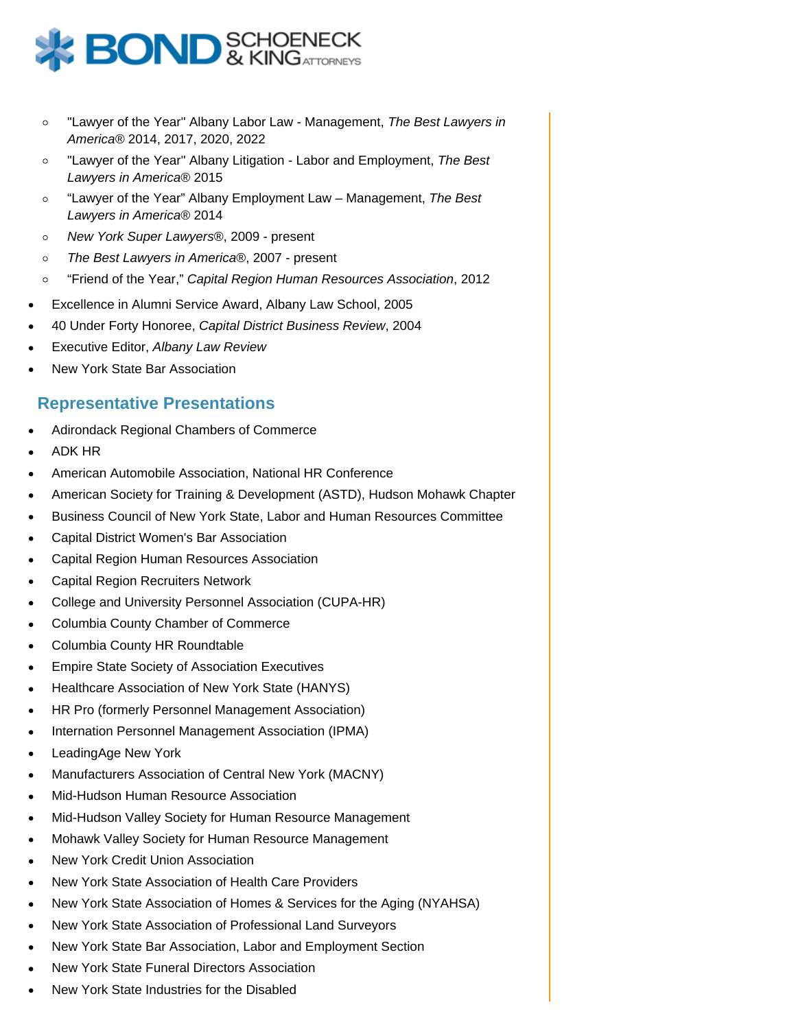

- "Lawyer of the Year" Albany Labor Law Management, The Best Lawyers in  $\circ$ America® 2014, 2017, 2020, 2022
- "Lawyer of the Year" Albany Litigation Labor and Employment, The Best  $\circ$ Lawyers in America® 2015
- "Lawyer of the Year" Albany Employment Law Management, The Best  $\circ$ Lawyers in America® 2014
- $\circ$ New York Super Lawyers®, 2009 - present
- The Best Lawyers in America®, 2007 present  $\circ$
- "Friend of the Year," Capital Region Human Resources Association, 2012  $\circ$
- Excellence in Alumni Service Award, Albany Law School, 2005
- 40 Under Forty Honoree, Capital District Business Review, 2004
- Executive Editor, Albany Law Review
- New York State Bar Association

#### **Representative Presentations**

- Adirondack Regional Chambers of Commerce
- ADK HR
- American Automobile Association, National HR Conference
- American Society for Training & Development (ASTD), Hudson Mohawk Chapter
- Business Council of New York State, Labor and Human Resources Committee
- Capital District Women's Bar Association
- Capital Region Human Resources Association
- Capital Region Recruiters Network
- College and University Personnel Association (CUPA-HR)
- Columbia County Chamber of Commerce
- Columbia County HR Roundtable
- Empire State Society of Association Executives
- Healthcare Association of New York State (HANYS)
- HR Pro (formerly Personnel Management Association)
- Internation Personnel Management Association (IPMA)
- LeadingAge New York
- Manufacturers Association of Central New York (MACNY)
- Mid-Hudson Human Resource Association
- Mid-Hudson Valley Society for Human Resource Management
- Mohawk Valley Society for Human Resource Management
- New York Credit Union Association
- New York State Association of Health Care Providers
- New York State Association of Homes & Services for the Aging (NYAHSA)
- New York State Association of Professional Land Surveyors
- New York State Bar Association, Labor and Employment Section
- New York State Funeral Directors Association
- New York State Industries for the Disabled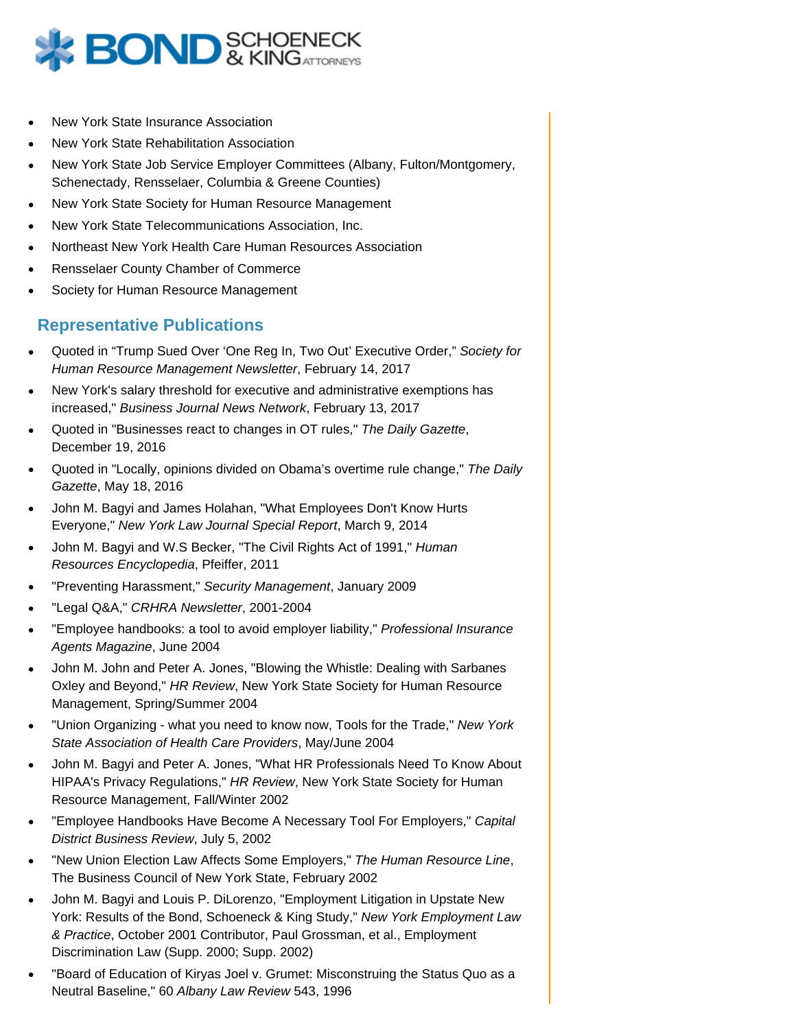

- New York State Insurance Association
- New York State Rehabilitation Association
- New York State Job Service Employer Committees (Albany, Fulton/Montgomery, Schenectady, Rensselaer, Columbia & Greene Counties)
- New York State Society for Human Resource Management
- New York State Telecommunications Association, Inc.
- Northeast New York Health Care Human Resources Association
- Rensselaer County Chamber of Commerce
- Society for Human Resource Management

#### **Representative Publications**

- Quoted in "Trump Sued Over 'One Reg In, Two Out' Executive Order," Society for Human Resource Management Newsletter, February 14, 2017
- New York's salary threshold for executive and administrative exemptions has increased," Business Journal News Network, February 13, 2017
- Quoted in "Businesses react to changes in OT rules," The Daily Gazette, December 19, 2016
- Quoted in "Locally, opinions divided on Obama's overtime rule change," The Daily Gazette, May 18, 2016
- John M. Bagyi and James Holahan, "What Employees Don't Know Hurts Everyone," New York Law Journal Special Report, March 9, 2014
- John M. Bagyi and W.S Becker, "The Civil Rights Act of 1991," Human Resources Encyclopedia, Pfeiffer, 2011
- "Preventing Harassment," Security Management, January 2009
- "Legal Q&A," CRHRA Newsletter, 2001-2004
- "Employee handbooks: a tool to avoid employer liability," Professional Insurance Agents Magazine, June 2004
- John M. John and Peter A. Jones, "Blowing the Whistle: Dealing with Sarbanes Oxley and Beyond," HR Review, New York State Society for Human Resource Management, Spring/Summer 2004
- "Union Organizing what you need to know now, Tools for the Trade," New York State Association of Health Care Providers, May/June 2004
- John M. Bagyi and Peter A. Jones, "What HR Professionals Need To Know About HIPAA's Privacy Regulations," HR Review, New York State Society for Human Resource Management, Fall/Winter 2002
- "Employee Handbooks Have Become A Necessary Tool For Employers," Capital District Business Review, July 5, 2002
- "New Union Election Law Affects Some Employers," The Human Resource Line, The Business Council of New York State, February 2002
- John M. Bagyi and Louis P. DiLorenzo, "Employment Litigation in Upstate New York: Results of the Bond, Schoeneck & King Study," New York Employment Law & Practice, October 2001 Contributor, Paul Grossman, et al., Employment Discrimination Law (Supp. 2000; Supp. 2002)
- "Board of Education of Kiryas Joel v. Grumet: Misconstruing the Status Quo as a Neutral Baseline," 60 Albany Law Review 543, 1996